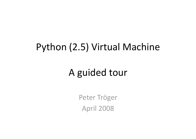## Python (2.5) Virtual Machine

#### A guided tour

Peter Tröger **April 2008**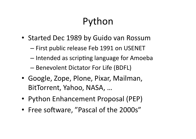# Python

- Started Dec 1989 by Guido van Rossum
	- First public release Feb 1991 on USENET
	- Intended as scripting language for Amoeba
	- Benevolent Dictator For Life (BDFL)
- Google, Zope, Plone, Pixar, Mailman, BitTorrent, Yahoo, NASA, ...
- Python Enhancement Proposal (PEP)
- Free software, "Pascal of the 2000s"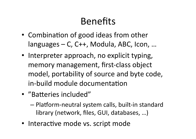## **Benefits**

- Combination of good ideas from other languages – C, C++, Modula, ABC, Icon, ...
- Interpreter approach, no explicit typing, memory management, first-class object model, portability of source and byte code, in-build module documentation
- "Batteries included"
	- Platform-neutral system calls, built-in standard library (network, files, GUI, databases, ...)
- Interactive mode vs. script mode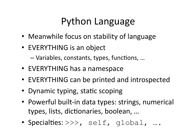## Python Language

- Meanwhile focus on stability of language
- EVERYTHING is an object

- Variables, constants, types, functions, ...

- EVERYTHING has a namespace
- EVERYTHING can be printed and introspected
- Dynamic typing, static scoping
- Powerful built-in data types: strings, numerical types, lists, dictionaries, boolean, ...
- Specialties: >>>, self, global, ....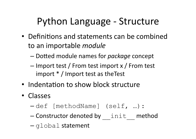# Python Language - Structure

- Definitions and statements can be combined to an importable *module* 
	- Dotted module names for *package* concept
	- Import test / From test import x / From test import  $* /$  Import test as the Test
- Indentation to show block structure
- Classes
	- -def [methodName] (self, ...) :
	- Constructor denoted by init method
	- $-q$ lobal statement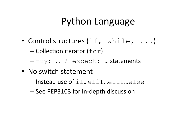#### Python Language

• Control structures  $(i.f.$  while,  $\ldots)$ 

- Collection iterator ( $for$ )

- -try: ... / except: ... statements
- No switch statement
	- -Instead use of if...elif...elif...else
	- See PEP3103 for in-depth discussion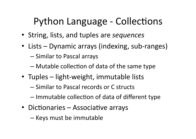## **Python Language - Collections**

- String, lists, and tuples are sequences
- Lists Dynamic arrays (indexing, sub-ranges)
	- Similar to Pascal arrays
	- Mutable collection of data of the same type
- Tuples light-weight, immutable lists
	- Similar to Pascal records or C structs
	- Immutable collection of data of different type
- Dictionaries Associative arrays
	- Keys must be immutable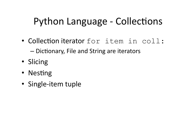## **Python Language - Collections**

• Collection iterator for item in coll:

- Dictionary, File and String are iterators

- Slicing
- Nesting
- Single-item tuple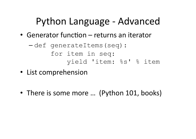## Python Language - Advanced

• Generator function - returns an iterator

- List comprehension
- There is some more ... (Python 101, books)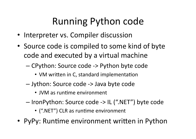# Running Python code

- Interpreter vs. Compiler discussion
- Source code is compiled to some kind of byte code and executed by a virtual machine
	- CPython: Source code -> Python byte code
		- VM written in C, standard implementation
	- Jython: Source code -> Java byte code
		- JVM as runtime environment
	- IronPython: Source code -> IL (".NET") byte code
		- (".NET") CLR as runtime environment
- PyPy: Runtime environment written in Python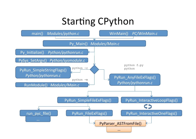#### Starting CPython

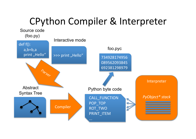## CPython Compiler & Interpreter

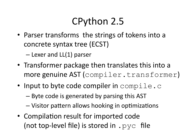# CPython 2.5

• Parser transforms the strings of tokens into a concrete syntax tree (ECST)

 $-$  Lexer and LL(1) parser

- Transformer package then translates this into a more genuine AST (compiler.transformer)
- Input to byte code compiler in compile.c
	- Byte code is generated by parsing this AST
	- Visitor pattern allows hooking in optimizations
- Compilation result for imported code (not top-level file) is stored in  $.$  pyc file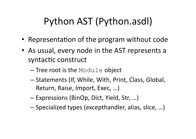# Python AST (Python.asdl)

- Representation of the program without code
- As usual, every node in the AST represents a syntactic construct
	- $-$  Tree root is the Module object
	- Statements (If, While, With, Print, Class, Global, Return, Raise, Import, Exec, ...)
	- Expressions (BinOp, Dict, Yield, Str, ...)
	- Specialized types (excepthandler, alias, slice, ...)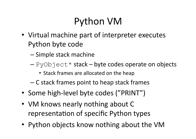# **Python VM**

- Virtual machine part of interpreter executes Python byte code
	- Simple stack machine
	- $-PyOb\text{icct}*$  stack byte codes operate on objects
		- Stack frames are allocated on the heap
	- C stack frames point to heap stack frames
- Some high-level byte codes ("PRINT")
- VM knows nearly nothing about C representation of specific Python types
- Python objects know nothing about the VM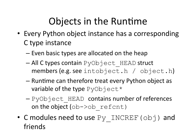# Objects in the Runtime

- Every Python object instance has a corresponding C type instance
	- Even basic types are allocated on the heap
	- All C types contain PyObject HEAD struct members (e.g. see intobject.h / object.h)
	- Runtime can therefore treat every Python object as variable of the type PyObject\*
	- PyObject HEAD contains number of references on the object  $(ob \rightarrow ob$  refcnt)
- C modules need to use  $Py$  INCREF ( $obj$ ) and friends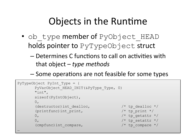### Objects in the Runtime

- ob type member of PyObject HEAD holds pointer to PyTypeObject struct
	- Determines C functions to call on activities with that object  $-$  type methods
	- Some operations are not feasible for some types

```
PyTypeObject PyInt Type = {
PyVarObject HEAD INIT (&PyType_Type, 0)
"int".
sizeof (PyIntObject),
0.(destructor) int dealloc,
                                         /* tp dealloc *//* tp print */(printfunc) int print,
                                         /* tp getattr */0<sub>r</sub>/* tp setattr */
0./* tp compare */(cmpfunc) int compare,
```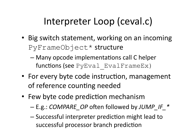# Interpreter Loop (ceval.c)

- Big switch statement, working on an incoming PyFrameObject\* structure
	- Many opcode implementations call C helper functions (see PyEval EvalFrameEx)
- For every byte code instruction, management of reference counting needed
- Few byte code prediction mechanism
	- E.g.: COMPARE OP often followed by JUMP IF \*
	- Successful interpreter prediction might lead to successful processor branch prediction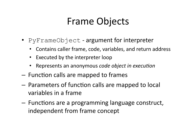### **Frame Objects**

- PyFrameObject argument for interpreter
	- Contains caller frame, code, variables, and return address  $\bullet$
	- Executed by the interpreter loop
	- Represents an anonymous code object in execution  $\bullet$
- Function calls are mapped to frames
- Parameters of function calls are mapped to local variables in a frame
- Functions are a programming language construct, independent from frame concept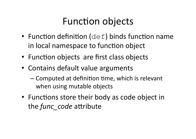## **Function objects**

- Function definition  $(\det)$  binds function name in local namespace to function object
- Function objects are first class objects
- Contains default value arguments
	- Computed at definition time, which is relevant when using mutable objects
- Functions store their body as code object in the *func* code attribute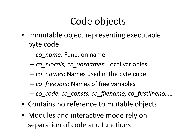# Code objects

- Immutable object representing executable byte code
	- co name: Function name
	- co nlocals, co varnames: Local variables
	- co names: Names used in the byte code
	- co freevars: Names of free variables
	- co\_code, co\_consts, co\_filename, co\_firstlineno, ...
- Contains no reference to mutable objects
- Modules and interactive mode rely on separation of code and functions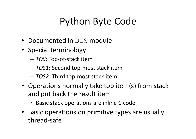# **Python Byte Code**

- Documented in DIS module
- Special terminology
	- TOS: Top-of-stack item
	- TOS1: Second top-most stack item
	- TOS2: Third top-most stack item
- Operations normally take top item(s) from stack and put back the result item
	- Basic stack operations are inline C code
- Basic operations on primitive types are usually thread-safe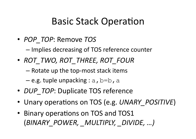#### **Basic Stack Operation**

• POP TOP: Remove TOS

- Implies decreasing of TOS reference counter

• ROT TWO, ROT THREE, ROT FOUR

- Rotate up the top-most stack items

 $-$  e.g. tuple unpacking : a, b=b, a

- DUP TOP: Duplicate TOS reference
- Unary operations on TOS (e.g. UNARY POSITIVE)
- Binary operations on TOS and TOS1 (BINARY POWER, MULTIPLY, DIVIDE, ...)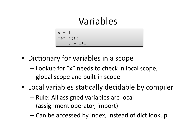#### Variables

 $x = 1$  $def f()$ :  $= x+1$ 

- Dictionary for variables in a scope
	- Lookup for "x" needs to check in local scope, global scope and built-in scope
- Local variables statically decidable by compiler
	- Rule: All assigned variables are local (assignment operator, import)
	- Can be accessed by index, instead of dict lookup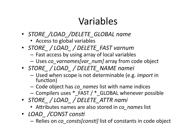## Variables

- STORE /LOAD /DELETE GLOBAL name
	- Access to global variables
- STORE / LOAD / DELETE FAST varnum
	- Fast access by using array of local variables
	- Uses co varnames [var num] array from code object
- STORE / LOAD / DELETE NAME namei
	- Used when scope is not determinable (e.g. *import* in function)
	- Code object has co\_names list with name indices
	- Compilers uses \* FAST / \* GLOBAL whenever possible
- STORE / LOAD / DELETE ATTR nami
	- Attributes names are also stored in co names list
- LOAD / CONST consti
	- Relies on co consts[consti] list of constants in code object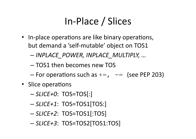# In-Place / Slices

- In-place operations are like binary operations, but demand a 'self-mutable' object on TOS1
	- INPLACE POWER, INPLACE MULTIPLY, ...
	- TOS1 then becomes new TOS
	- For operations such as  $+=$ ,  $-=$  (see PEP 203)
- Slice operations
	- $-SLICE + O: TOS=TOS[:]$
	- $-SLICE + 1$ : TOS=TOS1[TOS:]
	- $-SLICE+2$ : TOS=TOS1[:TOS]
	- $-SLICE + 3$ : TOS=TOS2[TOS1:TOS]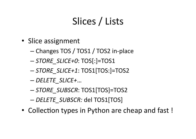# Slices / Lists

- Slice assignment
	- Changes TOS / TOS1 / TOS2 in-place
	- STORE SLICE+0: TOS[:]=TOS1
	- STORE SLICE+1: TOS1[TOS:]=TOS2
	- DELETE SLICE+...
	- STORE SUBSCR: TOS1[TOS]=TOS2
	- DELETE SUBSCR: del TOS1[TOS]
- Collection types in Python are cheap and fast!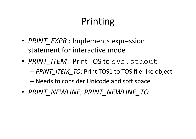## Printing

- PRINT EXPR : Implements expression statement for interactive mode
- PRINT ITEM: Print TOS to sys.stdout
	- PRINT ITEM TO: Print TOS1 to TOS file-like object
	- Needs to consider Unicode and soft space
- PRINT NEWLINE, PRINT NEWLINE TO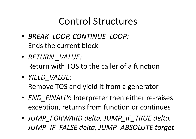#### **Control Structures**

- · BREAK LOOP, CONTINUE LOOP: Ends the current block
- RETURN VALUE: Return with TOS to the caller of a function
- · YIELD VALUE: Remove TOS and yield it from a generator
- END FINALLY: Interpreter then either re-raises exception, returns from function or continues
- JUMP FORWARD delta, JUMP IF TRUE delta, JUMP IF FALSE delta, JUMP ABSOLUTE target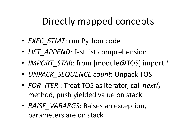## Directly mapped concepts

- EXEC STMT: run Python code
- LIST APPEND: fast list comprehension
- IMPORT STAR: from [module@TOS] import \*
- UNPACK SEQUENCE count: Unpack TOS
- FOR ITER : Treat TOS as iterator, call next() method, push yielded value on stack
- RAISE VARARGS: Raises an exception, parameters are on stack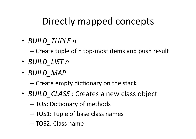## Directly mapped concepts

• BUILD TUPLE n

- Create tuple of n top-most items and push result

- BUILD LIST n
- BUILD MAP

- Create empty dictionary on the stack

- BUILD CLASS: Creates a new class object
	- TOS: Dictionary of methods
	- -TOS1: Tuple of base class names
	- -TOS2: Class name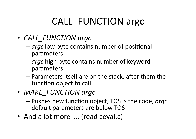# **CALL FUNCTION argc**

- CALL FUNCTION argc
	- argc low byte contains number of positional parameters
	- argc high byte contains number of keyword parameters
	- Parameters itself are on the stack, after them the function object to call
- MAKE FUNCTION argc
	- Pushes new function object, TOS is the code, argc default parameters are below TOS
- And a lot more .... (read ceval.c)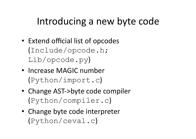### Introducing a new byte code

- Extend official list of opcodes (Include/opcode.h;  $Lib/opcode.py)$
- Increase MAGIC number  $(Python/import.c)$
- Change AST->byte code compiler  $(Python/complitude r.c)$
- Change byte code interpreter  $(Pvthon/ceval.c)$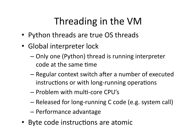# Threading in the VM

- Python threads are true OS threads
- Global interpreter lock
	- Only one (Python) thread is running interpreter code at the same time
	- Regular context switch after a number of executed instructions or with long-running operations
	- Problem with multi-core CPU's
	- Released for long-running C code (e.g. system call)
	- Performance advantage
- Byte code instructions are atomic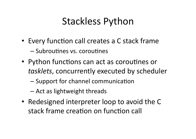## **Stackless Python**

- Every function call creates a C stack frame - Subroutines vs. coroutines
- Python functions can act as coroutines or tasklets, concurrently executed by scheduler
	- Support for channel communication
	- Act as lightweight threads
- Redesigned interpreter loop to avoid the C stack frame creation on function call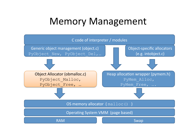#### **Memory Management**

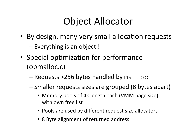## **Object Allocator**

• By design, many very small allocation requests

- Everything is an object!

- Special optimization for performance (obmalloc.c)
	- $-$  Requests >256 bytes handled by  $\text{malloc}$
	- Smaller requests sizes are grouped (8 bytes apart)
		- Memory pools of 4k length each (VMM page size), with own free list
		- Pools are used by different request size allocators
		- 8 Byte alignment of returned address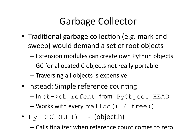# **Garbage Collector**

- Traditional garbage collection (e.g. mark and sweep) would demand a set of root objects
	- Extension modules can create own Python objects
	- GC for allocated C objects not really portable
	- Traversing all objects is expensive
- Instead: Simple reference counting
	- -In ob->ob refcnt from PyObject HEAD

- Works with every malloc() / free()

- $Py$  DECREF() (object.h)
	- Calls finalizer when reference count comes to zero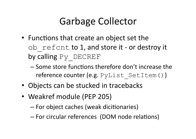# **Garbage Collector**

- Functions that create an object set the ob refent to 1, and store it - or destroy it by calling Py DECREF
	- Some store functions therefore don't increase the reference counter (e.g. PyList SetItem ())
- Objects can be stucked in tracebacks
- Weakref module (PEP 205)
	- For object caches (weak dicitionaries)
	- For circular references (DOM node relations)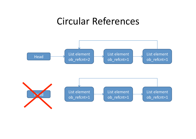#### Circular References

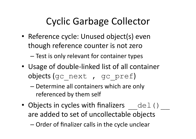# **Cyclic Garbage Collector**

• Reference cycle: Unused object(s) even though reference counter is not zero

- Test is only relevant for container types

- Usage of double-linked list of all container objects (gc next, gc pref)
	- Determine all containers which are only referenced by them self
- Objects in cycles with finalizers  $\det()$ are added to set of uncollectable objects

- Order of finalizer calls in the cycle unclear